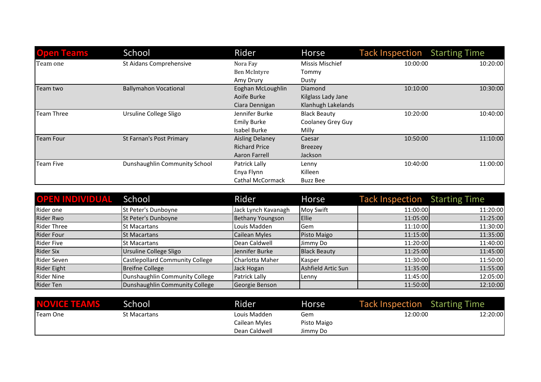| <b>Open Teams</b> | School                        | Rider                   | Horse                    | <b>Tack Inspection</b> | <b>Starting Time</b> |
|-------------------|-------------------------------|-------------------------|--------------------------|------------------------|----------------------|
| Team one          | St Aidans Comprehensive       | Nora Fay                | <b>Missis Mischief</b>   | 10:00:00               | 10:20:00             |
|                   |                               | Ben McIntyre            | Tommy                    |                        |                      |
|                   |                               | Amy Drury               | Dusty                    |                        |                      |
| Team two          | <b>Ballymahon Vocational</b>  | Eoghan McLoughlin       | <b>Diamond</b>           | 10:10:00               | 10:30:00             |
|                   |                               | Aoife Burke             | Kilglass Lady Jane       |                        |                      |
|                   |                               | Ciara Dennigan          | Klanhugh Lakelands       |                        |                      |
| Team Three        | Ursuline College Sligo        | Jennifer Burke          | <b>Black Beauty</b>      | 10:20:00               | 10:40:00             |
|                   |                               | <b>Emily Burke</b>      | <b>Coolaney Grey Guy</b> |                        |                      |
|                   |                               | Isabel Burke            | Milly                    |                        |                      |
| Team Four         | St Farnan's Post Primary      | <b>Aisling Delaney</b>  | Caesar                   | 10:50:00               | 11:10:00             |
|                   |                               | <b>Richard Price</b>    | <b>Breezey</b>           |                        |                      |
|                   |                               | Aaron Farrell           | Jackson                  |                        |                      |
| Team Five         | Dunshaughlin Community School | Patrick Lally           | Lenny                    | 10:40:00               | 11:00:00             |
|                   |                               | Enya Flynn              | Killeen                  |                        |                      |
|                   |                               | <b>Cathal McCormack</b> | <b>Buzz Bee</b>          |                        |                      |

| <b>OPEN INDIVIDUAL School</b> |                                 | Rider               | Horse               | <b>Tack Inspection</b> Starting Time |          |
|-------------------------------|---------------------------------|---------------------|---------------------|--------------------------------------|----------|
| Rider one                     | St Peter's Dunboyne             | Jack Lynch Kavanagh | Moy Swift           | 11:00:00                             | 11:20:00 |
| Rider Rwo                     | St Peter's Dunboyne             | Bethany Youngson    | Ellie               | 11:05:00                             | 11:25:00 |
| Rider Three                   | St Macartans                    | Louis Madden        | Gem                 | 11:10:00                             | 11:30:00 |
| <b>Rider Four</b>             | <b>St Macartans</b>             | Cailean Myles       | Pisto Maigo         | 11:15:00                             | 11:35:00 |
| Rider Five                    | lSt Macartans                   | Dean Caldwell       | Jimmy Do            | 11:20:00                             | 11:40:00 |
| Rider Six                     | Ursuline College Sligo          | Jennifer Burke      | <b>Black Beauty</b> | 11:25:00                             | 11:45:00 |
| Rider Seven                   | Castlepollard Community College | Charlotta Maher     | Kasper              | 11:30:00                             | 11:50:00 |
| Rider Eight                   | Breifne College                 | Jack Hogan          | Ashfield Artic Sun  | 11:35:00                             | 11:55:00 |
| Rider Nine                    | Dunshaughlin Community College  | Patrick Lally       | Lenny               | 11:45:00                             | 12:05:00 |
| Rider Ten                     | Dunshaughlin Community College  | Georgie Benson      |                     | 11:50:00                             | 12:10:00 |

| <b>NOVICE TEAMS</b> | School       | Rider         | Horse       | <b>Tack Inspection</b> Starting Time |          |
|---------------------|--------------|---------------|-------------|--------------------------------------|----------|
| <b>Team One</b>     | St Macartans | Louis Madden  | Gem         | 12:00:00                             | 12:20:00 |
|                     |              | Cailean Myles | Pisto Maigo |                                      |          |
|                     |              | Dean Caldwell | Jimmy Do    |                                      |          |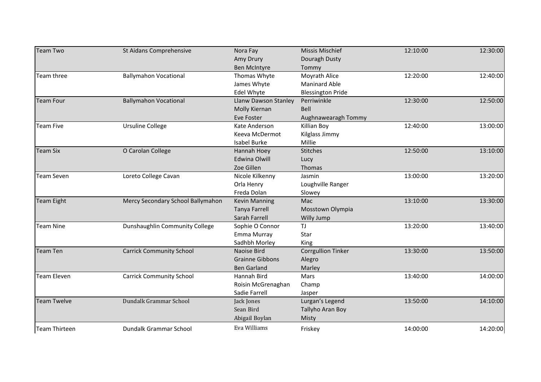| Team Two             | St Aidans Comprehensive           | Nora Fay               | Missis Mischief           | 12:10:00 | 12:30:00 |
|----------------------|-----------------------------------|------------------------|---------------------------|----------|----------|
|                      |                                   | Amy Drury              | Douragh Dusty             |          |          |
|                      |                                   | Ben McIntyre           | Tommy                     |          |          |
| Team three           | <b>Ballymahon Vocational</b>      | Thomas Whyte           | Moyrath Alice             | 12:20:00 | 12:40:00 |
|                      |                                   | James Whyte            | <b>Maninard Able</b>      |          |          |
|                      |                                   | Edel Whyte             | <b>Blessington Pride</b>  |          |          |
| <b>Team Four</b>     | <b>Ballymahon Vocational</b>      | Llanw Dawson Stanley   | Perriwinkle               | 12:30:00 | 12:50:00 |
|                      |                                   | Molly Kiernan          | Bell                      |          |          |
|                      |                                   | Eve Foster             | Aughnawearagh Tommy       |          |          |
| <b>Team Five</b>     | <b>Ursuline College</b>           | Kate Anderson          | Killian Boy               | 12:40:00 | 13:00:00 |
|                      |                                   | Keeva McDermot         | Kilglass Jimmy            |          |          |
|                      |                                   | Isabel Burke           | Millie                    |          |          |
| <b>Team Six</b>      | O Carolan College                 | Hannah Hoey            | <b>Stitches</b>           | 12:50:00 | 13:10:00 |
|                      |                                   | <b>Edwina Olwill</b>   | Lucy                      |          |          |
|                      |                                   | Zoe Gillen             | Thomas                    |          |          |
| <b>Team Seven</b>    | Loreto College Cavan              | Nicole Kilkenny        | Jasmin                    | 13:00:00 | 13:20:00 |
|                      |                                   | Orla Henry             | Loughville Ranger         |          |          |
|                      |                                   | Freda Dolan            | Slowey                    |          |          |
| Team Eight           | Mercy Secondary School Ballymahon | <b>Kevin Manning</b>   | Mac                       | 13:10:00 | 13:30:00 |
|                      |                                   | <b>Tanya Farrell</b>   | Mosstown Olympia          |          |          |
|                      |                                   | Sarah Farrell          | Willy Jump                |          |          |
| <b>Team Nine</b>     | Dunshaughlin Community College    | Sophie O Connor        | <b>TJ</b>                 | 13:20:00 | 13:40:00 |
|                      |                                   | Emma Murray            | Star                      |          |          |
|                      |                                   | Sadhbh Morley          | King                      |          |          |
| Team Ten             | <b>Carrick Community School</b>   | Naoise Bird            | <b>Corrgullion Tinker</b> | 13:30:00 | 13:50:00 |
|                      |                                   | <b>Grainne Gibbons</b> | Alegro                    |          |          |
|                      |                                   | <b>Ben Garland</b>     | Marley                    |          |          |
| <b>Team Eleven</b>   | <b>Carrick Community School</b>   | Hannah Bird            | Mars                      | 13:40:00 | 14:00:00 |
|                      |                                   | Roisin McGrenaghan     | Champ                     |          |          |
|                      |                                   | Sadie Farrell          | Jasper                    |          |          |
| Team Twelve          | Dundalk Grammar School            | Jack Jones             | Lurgan's Legend           | 13:50:00 | 14:10:00 |
|                      |                                   | Sean Bird              | Tallyho Aran Boy          |          |          |
|                      |                                   | Abigail Boylan         | Misty                     |          |          |
| <b>Team Thirteen</b> | Dundalk Grammar School            | Eva Williams           | Friskey                   | 14:00:00 | 14:20:00 |
|                      |                                   |                        |                           |          |          |